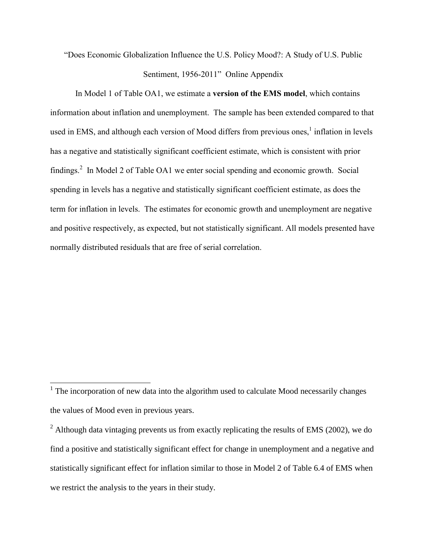"Does Economic Globalization Influence the U.S. Policy Mood?: A Study of U.S. Public Sentiment, 1956-2011" Online Appendix

In Model 1 of Table OA1, we estimate a **version of the EMS model**, which contains information about inflation and unemployment. The sample has been extended compared to that used in EMS, and although each version of Mood differs from previous ones,<sup>1</sup> inflation in levels has a negative and statistically significant coefficient estimate, which is consistent with prior findings.<sup>2</sup> In Model 2 of Table OA1 we enter social spending and economic growth. Social spending in levels has a negative and statistically significant coefficient estimate, as does the term for inflation in levels. The estimates for economic growth and unemployment are negative and positive respectively, as expected, but not statistically significant. All models presented have normally distributed residuals that are free of serial correlation.

<sup>&</sup>lt;sup>1</sup> The incorporation of new data into the algorithm used to calculate Mood necessarily changes the values of Mood even in previous years.

<sup>&</sup>lt;sup>2</sup> Although data vintaging prevents us from exactly replicating the results of EMS (2002), we do find a positive and statistically significant effect for change in unemployment and a negative and statistically significant effect for inflation similar to those in Model 2 of Table 6.4 of EMS when we restrict the analysis to the years in their study.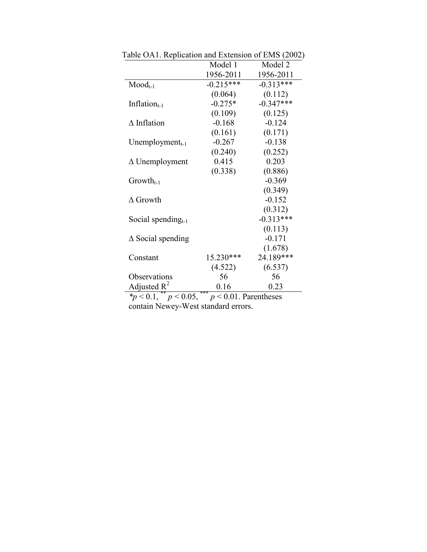|                                                                  | Model 1                            | Model 2     |
|------------------------------------------------------------------|------------------------------------|-------------|
|                                                                  | 1956-2011                          | 1956-2011   |
| $Mod_{t-1}$                                                      | $-0.215***$                        | $-0.313***$ |
|                                                                  | (0.064)                            | (0.112)     |
| Inflation $_{t-1}$                                               | $-0.275*$                          | $-0.347***$ |
|                                                                  | (0.109)                            | (0.125)     |
| $\Delta$ Inflation                                               | $-0.168$                           | $-0.124$    |
|                                                                  | (0.161)                            | (0.171)     |
| Unemployment $_{t-1}$                                            | $-0.267$                           | $-0.138$    |
|                                                                  | (0.240)                            | (0.252)     |
| $\Delta$ Unemployment                                            | 0.415                              | 0.203       |
|                                                                  | (0.338)                            | (0.886)     |
| $Growth_{t-1}$                                                   |                                    | $-0.369$    |
|                                                                  |                                    | (0.349)     |
| $\Delta$ Growth                                                  |                                    | $-0.152$    |
|                                                                  |                                    | (0.312)     |
| Social spending $_{t-1}$                                         |                                    | $-0.313***$ |
|                                                                  |                                    | (0.113)     |
| $\triangle$ Social spending                                      |                                    | $-0.171$    |
|                                                                  |                                    | (1.678)     |
| Constant                                                         | 15.230***                          | 24.189***   |
|                                                                  | (4.522)                            | (6.537)     |
| Observations                                                     | 56                                 | 56          |
| Adjusted $R^2$                                                   | 0.16                               | 0.23        |
| $\sim$ 0.0 $\sigma$<br>$\frac{1}{2}$ $\frac{1}{2}$ $\frac{1}{2}$ | ***<br>$\sim$ $\cap$ $\cap$ $\Box$ | ٠1.         |

Table OA1. Replication and Extension of EMS (2002)

 $*_{p}$  < 0.1,  $*$   $p$  < 0.05,  $*$   $*$   $p$  < 0.01. Parentheses contain Newey-West standard errors.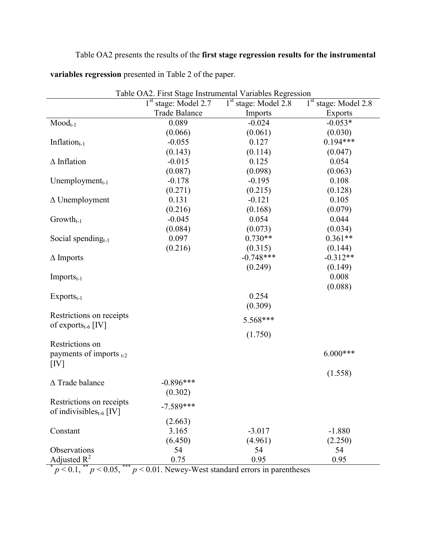## Table OA2 presents the results of the **first stage regression results for the instrumental**

**variables regression** presented in Table 2 of the paper.

| Table OA2. First Stage Instrumental Variables Regression                               |                                                                                      |             |                |  |  |  |  |
|----------------------------------------------------------------------------------------|--------------------------------------------------------------------------------------|-------------|----------------|--|--|--|--|
|                                                                                        | 1 <sup>st</sup> stage: Model 2.8<br>$1st$ stage: Model 2.8<br>$1st$ stage: Model 2.7 |             |                |  |  |  |  |
|                                                                                        | <b>Trade Balance</b>                                                                 | Imports     | <b>Exports</b> |  |  |  |  |
| $Mod_{t-1}$                                                                            | 0.089                                                                                | $-0.024$    | $-0.053*$      |  |  |  |  |
|                                                                                        | (0.066)                                                                              | (0.061)     | (0.030)        |  |  |  |  |
| Inflation $_{t-1}$                                                                     | $-0.055$                                                                             | 0.127       | $0.194***$     |  |  |  |  |
|                                                                                        | (0.143)                                                                              | (0.114)     | (0.047)        |  |  |  |  |
| $\Delta$ Inflation                                                                     | $-0.015$                                                                             | 0.125       | 0.054          |  |  |  |  |
|                                                                                        | (0.087)                                                                              | (0.098)     | (0.063)        |  |  |  |  |
| Unemployment $_{t-1}$                                                                  | $-0.178$                                                                             | $-0.195$    | 0.108          |  |  |  |  |
|                                                                                        | (0.271)                                                                              | (0.215)     | (0.128)        |  |  |  |  |
| $\Delta$ Unemployment                                                                  | 0.131                                                                                | $-0.121$    | 0.105          |  |  |  |  |
|                                                                                        | (0.216)                                                                              | (0.168)     | (0.079)        |  |  |  |  |
| $Growth_{t-1}$                                                                         | $-0.045$                                                                             | 0.054       | 0.044          |  |  |  |  |
|                                                                                        | (0.084)                                                                              | (0.073)     | (0.034)        |  |  |  |  |
| Social spending $_{t-1}$                                                               | 0.097                                                                                | $0.730**$   | $0.361**$      |  |  |  |  |
|                                                                                        | (0.216)                                                                              | (0.315)     | (0.144)        |  |  |  |  |
| $\Delta$ Imports                                                                       |                                                                                      | $-0.748***$ | $-0.312**$     |  |  |  |  |
|                                                                                        |                                                                                      | (0.249)     | (0.149)        |  |  |  |  |
| $Imports_{t-1}$                                                                        |                                                                                      |             | 0.008          |  |  |  |  |
|                                                                                        |                                                                                      |             | (0.088)        |  |  |  |  |
| $Exports_{t-1}$                                                                        |                                                                                      | 0.254       |                |  |  |  |  |
|                                                                                        |                                                                                      | (0.309)     |                |  |  |  |  |
| Restrictions on receipts                                                               |                                                                                      | 5.568***    |                |  |  |  |  |
| of exports <sub>t-6</sub> [IV]                                                         |                                                                                      |             |                |  |  |  |  |
|                                                                                        |                                                                                      | (1.750)     |                |  |  |  |  |
| Restrictions on                                                                        |                                                                                      |             |                |  |  |  |  |
| payments of imports t-2                                                                |                                                                                      |             | $6.000***$     |  |  |  |  |
| [IV]                                                                                   |                                                                                      |             |                |  |  |  |  |
|                                                                                        |                                                                                      |             | (1.558)        |  |  |  |  |
| $\Delta$ Trade balance                                                                 | $-0.896***$                                                                          |             |                |  |  |  |  |
|                                                                                        | (0.302)                                                                              |             |                |  |  |  |  |
| Restrictions on receipts                                                               |                                                                                      |             |                |  |  |  |  |
| of indivisibles $_{t-6}$ [IV]                                                          | $-7.589***$                                                                          |             |                |  |  |  |  |
|                                                                                        | (2.663)                                                                              |             |                |  |  |  |  |
| Constant                                                                               | 3.165                                                                                | $-3.017$    | $-1.880$       |  |  |  |  |
|                                                                                        | (6.450)                                                                              | (4.961)     | (2.250)        |  |  |  |  |
| Observations                                                                           | 54                                                                                   | 54          | 54             |  |  |  |  |
| Adjusted $R^2$                                                                         | 0.75                                                                                 | 0.95        | 0.95           |  |  |  |  |
| $p < 0.1$ , ** $p < 0.05$ , *** $p < 0.01$ . Newey-West standard errors in parentheses |                                                                                      |             |                |  |  |  |  |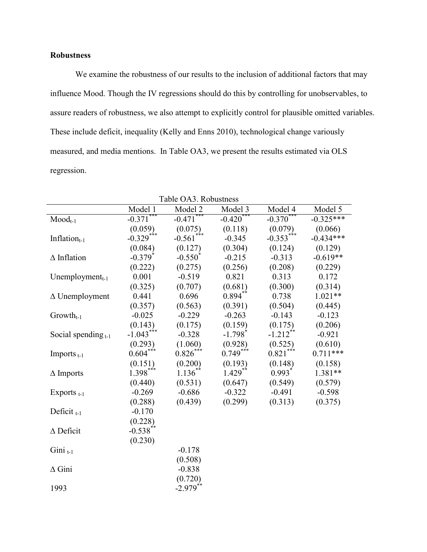## **Robustness**

We examine the robustness of our results to the inclusion of additional factors that may influence Mood. Though the IV regressions should do this by controlling for unobservables, to assure readers of robustness, we also attempt to explicitly control for plausible omitted variables. These include deficit, inequality (Kelly and Enns 2010), technological change variously measured, and media mentions. In Table OA3, we present the results estimated via OLS regression.

| Table OAS, RODUSHIESS    |                         |                         |                        |                        |             |  |
|--------------------------|-------------------------|-------------------------|------------------------|------------------------|-------------|--|
|                          | Model 1                 | Model 2                 | Model 3                | Model 4                | Model 5     |  |
| $Mod_{t-1}$              | $-0.371$ <sup>*</sup>   | $-0.471$ ***            | $-0.420$ <sup>*</sup>  | $-0.370^*$             | $-0.325***$ |  |
|                          | (0.059)                 | (0.075)                 | (0.118)                | (0.079)                | (0.066)     |  |
| Inflation $_{t-1}$       | $-0.329***$             | ***<br>$-0.561$         | $-0.345$               | $-0.353***$            | $-0.434***$ |  |
|                          | (0.084)                 | (0.127)                 | (0.304)                | (0.124)                | (0.129)     |  |
| $\Delta$ Inflation       | $-0.379^*$              | $-0.550^*$              | $-0.215$               | $-0.313$               | $-0.619**$  |  |
|                          | (0.222)                 | (0.275)                 | (0.256)                | (0.208)                | (0.229)     |  |
| Unemployment $_{t-1}$    | 0.001                   | $-0.519$                | 0.821                  | 0.313                  | 0.172       |  |
|                          | (0.325)                 | (0.707)                 | (0.681)                | (0.300)                | (0.314)     |  |
| $\Delta$ Unemployment    | 0.441                   | 0.696                   | $0.894***$             | 0.738                  | $1.021**$   |  |
|                          | (0.357)                 | (0.563)                 | (0.391)                | (0.504)                | (0.445)     |  |
| $Growth_{t-1}$           | $-0.025$                | $-0.229$                | $-0.263$               | $-0.143$               | $-0.123$    |  |
|                          | (0.143)                 | (0.175)                 | (0.159)                | (0.175)                | (0.206)     |  |
| Social spending $_{t-1}$ | $-1.043***$             | $-0.328$                | $-1.798$ <sup>*</sup>  | $-1.212$ <sup>**</sup> | $-0.921$    |  |
|                          | $(0.293)$<br>$0.604***$ | $(1.060)$<br>$0.826***$ | (0.928)                | (0.525)                | (0.610)     |  |
| Imports $_{t-1}$         |                         |                         | $0.749$ <sup>***</sup> | $0.821***$             | $0.711***$  |  |
|                          | (0.151)                 | (0.200)                 | (0.193)                | (0.148)                | (0.158)     |  |
| $\Delta$ Imports         | $1.398***$              | $1.136***$              | $1.429$ <sup>**</sup>  | $0.993^*$              | 1.381**     |  |
|                          | (0.440)                 | (0.531)                 | (0.647)                | (0.549)                | (0.579)     |  |
| Exports $_{t-1}$         | $-0.269$                | $-0.686$                | $-0.322$               | $-0.491$               | $-0.598$    |  |
|                          | (0.288)                 | (0.439)                 | (0.299)                | (0.313)                | (0.375)     |  |
| Deficit $_{t-1}$         | $-0.170$                |                         |                        |                        |             |  |
|                          | (0.228)                 |                         |                        |                        |             |  |
| $\triangle$ Deficit      | $-0.538$ <sup>**</sup>  |                         |                        |                        |             |  |
|                          | (0.230)                 |                         |                        |                        |             |  |
| Gini $_{t-1}$            |                         | $-0.178$                |                        |                        |             |  |
|                          |                         | (0.508)                 |                        |                        |             |  |
| $\Delta$ Gini            |                         | $-0.838$                |                        |                        |             |  |
|                          |                         | (0.720)                 |                        |                        |             |  |
| 1993                     |                         | $-2.979$ <sup>**</sup>  |                        |                        |             |  |

|  |  | Table OA3. Robustness |
|--|--|-----------------------|
|--|--|-----------------------|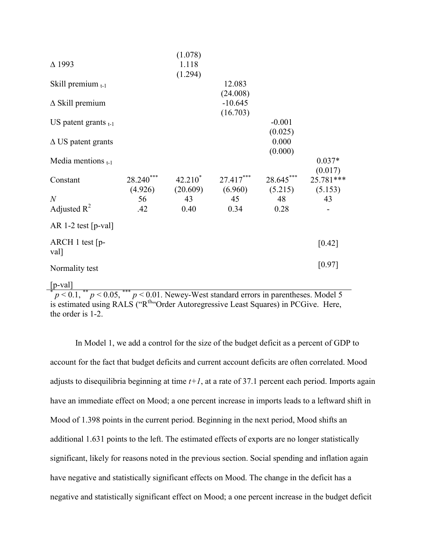|                                          |                      | (1.078)          |                                    |                  |                           |
|------------------------------------------|----------------------|------------------|------------------------------------|------------------|---------------------------|
| $\Delta$ 1993                            |                      | 1.118<br>(1.294) |                                    |                  |                           |
| Skill premium $_{t-1}$                   |                      |                  | 12.083                             |                  |                           |
| $\Delta$ Skill premium                   |                      |                  | (24.008)<br>$-10.645$              |                  |                           |
| US patent grants $_{t-1}$                |                      |                  | (16.703)                           | $-0.001$         |                           |
| $\triangle$ US patent grants             |                      |                  |                                    | (0.025)<br>0.000 |                           |
| Media mentions $_{t-1}$                  |                      |                  |                                    | (0.000)          | $0.037*$                  |
| Constant                                 | 28.240***            |                  | $42.210^*$ $27.417^{***}$          | $28.645***$      | (0.017)<br>25.781***      |
| $\mathcal N$<br>Adjusted $R^2$           | (4.926)<br>56<br>.42 | 43<br>0.40       | $(20.609)$ $(6.960)$<br>45<br>0.34 | 48<br>0.28       | $(5.215)$ $(5.153)$<br>43 |
| AR 1-2 test $[p-value]$                  |                      |                  |                                    |                  |                           |
| $\text{ARCH} 1 \text{ test}$ [p-<br>val] |                      |                  |                                    |                  | $\left[0.42\right]$       |
| Normality test                           |                      |                  |                                    |                  | [0.97]                    |
| $\ln$ voll                               |                      |                  |                                    |                  |                           |

 $[p-value]$ <br>  $[p < 0.1, \frac{p}{p} < 0.05, \frac{p}{p} < 0.01$ . Newey-West standard errors in parentheses. Model 5 is estimated using RALS ("R<sup>tha</sup>Order Autoregressive Least Squares) in PCGive. Here, the order is 1-2.

In Model 1, we add a control for the size of the budget deficit as a percent of GDP to account for the fact that budget deficits and current account deficits are often correlated. Mood adjusts to disequilibria beginning at time  $t+1$ , at a rate of 37.1 percent each period. Imports again have an immediate effect on Mood; a one percent increase in imports leads to a leftward shift in Mood of 1.398 points in the current period. Beginning in the next period, Mood shifts an additional 1.631 points to the left. The estimated effects of exports are no longer statistically significant, likely for reasons noted in the previous section. Social spending and inflation again have negative and statistically significant effects on Mood. The change in the deficit has a negative and statistically significant effect on Mood; a one percent increase in the budget deficit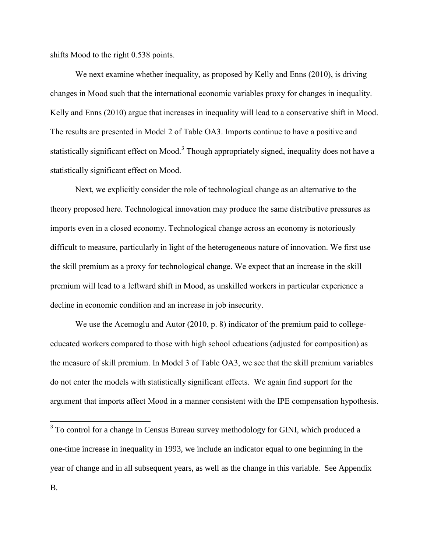shifts Mood to the right 0.538 points.

We next examine whether inequality, as proposed by Kelly and Enns (2010), is driving changes in Mood such that the international economic variables proxy for changes in inequality. Kelly and Enns (2010) argue that increases in inequality will lead to a conservative shift in Mood. The results are presented in Model 2 of Table OA3. Imports continue to have a positive and statistically significant effect on Mood.<sup>3</sup> Though appropriately signed, inequality does not have a statistically significant effect on Mood.

Next, we explicitly consider the role of technological change as an alternative to the theory proposed here. Technological innovation may produce the same distributive pressures as imports even in a closed economy. Technological change across an economy is notoriously difficult to measure, particularly in light of the heterogeneous nature of innovation. We first use the skill premium as a proxy for technological change. We expect that an increase in the skill premium will lead to a leftward shift in Mood, as unskilled workers in particular experience a decline in economic condition and an increase in job insecurity.

We use the Acemoglu and Autor (2010, p. 8) indicator of the premium paid to collegeeducated workers compared to those with high school educations (adjusted for composition) as the measure of skill premium. In Model 3 of Table OA3, we see that the skill premium variables do not enter the models with statistically significant effects. We again find support for the argument that imports affect Mood in a manner consistent with the IPE compensation hypothesis.

<sup>&</sup>lt;sup>3</sup> To control for a change in Census Bureau survey methodology for GINI, which produced a one-time increase in inequality in 1993, we include an indicator equal to one beginning in the year of change and in all subsequent years, as well as the change in this variable. See Appendix B.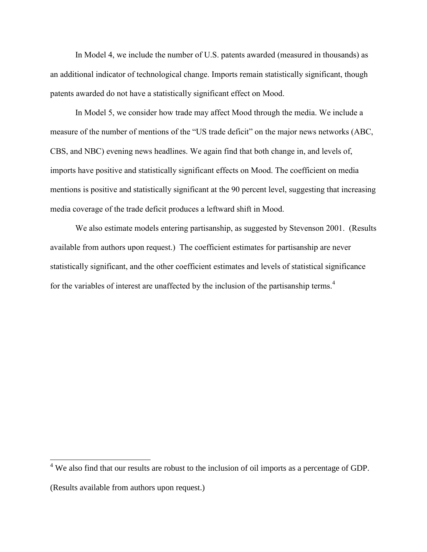In Model 4, we include the number of U.S. patents awarded (measured in thousands) as an additional indicator of technological change. Imports remain statistically significant, though patents awarded do not have a statistically significant effect on Mood.

In Model 5, we consider how trade may affect Mood through the media. We include a measure of the number of mentions of the "US trade deficit" on the major news networks (ABC, CBS, and NBC) evening news headlines. We again find that both change in, and levels of, imports have positive and statistically significant effects on Mood. The coefficient on media mentions is positive and statistically significant at the 90 percent level, suggesting that increasing media coverage of the trade deficit produces a leftward shift in Mood.

We also estimate models entering partisanship, as suggested by Stevenson 2001. (Results available from authors upon request.) The coefficient estimates for partisanship are never statistically significant, and the other coefficient estimates and levels of statistical significance for the variables of interest are unaffected by the inclusion of the partisanship terms.<sup>4</sup>

 $\overline{a}$  $4$  We also find that our results are robust to the inclusion of oil imports as a percentage of GDP. (Results available from authors upon request.)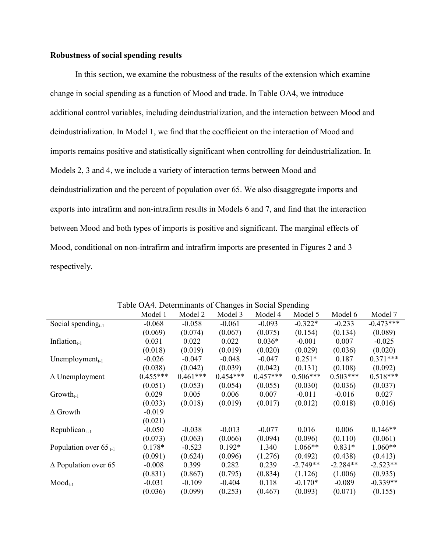## **Robustness of social spending results**

In this section, we examine the robustness of the results of the extension which examine change in social spending as a function of Mood and trade. In Table OA4, we introduce additional control variables, including deindustrialization, and the interaction between Mood and deindustrialization. In Model 1, we find that the coefficient on the interaction of Mood and imports remains positive and statistically significant when controlling for deindustrialization. In Models 2, 3 and 4, we include a variety of interaction terms between Mood and deindustrialization and the percent of population over 65. We also disaggregate imports and exports into intrafirm and non-intrafirm results in Models 6 and 7, and find that the interaction between Mood and both types of imports is positive and significant. The marginal effects of Mood, conditional on non-intrafirm and intrafirm imports are presented in Figures 2 and 3 respectively.

| Table OA4. Determinants of Changes in Social Spending |            |            |            |            |            |            |             |
|-------------------------------------------------------|------------|------------|------------|------------|------------|------------|-------------|
|                                                       | Model 1    | Model 2    | Model 3    | Model 4    | Model 5    | Model 6    | Model 7     |
| Social spending $_{t-1}$                              | $-0.068$   | $-0.058$   | $-0.061$   | $-0.093$   | $-0.322*$  | $-0.233$   | $-0.473***$ |
|                                                       | (0.069)    | (0.074)    | (0.067)    | (0.075)    | (0.154)    | (0.134)    | (0.089)     |
| Inflation $_{t-1}$                                    | 0.031      | 0.022      | 0.022      | $0.036*$   | $-0.001$   | 0.007      | $-0.025$    |
|                                                       | (0.018)    | (0.019)    | (0.019)    | (0.020)    | (0.029)    | (0.036)    | (0.020)     |
| Unemployment $_{t-1}$                                 | $-0.026$   | $-0.047$   | $-0.048$   | $-0.047$   | $0.251*$   | 0.187      | $0.371***$  |
|                                                       | (0.038)    | (0.042)    | (0.039)    | (0.042)    | (0.131)    | (0.108)    | (0.092)     |
| $\Delta$ Unemployment                                 | $0.455***$ | $0.461***$ | $0.454***$ | $0.457***$ | $0.506***$ | $0.503***$ | $0.518***$  |
|                                                       | (0.051)    | (0.053)    | (0.054)    | (0.055)    | (0.030)    | (0.036)    | (0.037)     |
| $Growth_{t-1}$                                        | 0.029      | 0.005      | 0.006      | 0.007      | $-0.011$   | $-0.016$   | 0.027       |
|                                                       | (0.033)    | (0.018)    | (0.019)    | (0.017)    | (0.012)    | (0.018)    | (0.016)     |
| $\Delta$ Growth                                       | $-0.019$   |            |            |            |            |            |             |
|                                                       | (0.021)    |            |            |            |            |            |             |
| Republican $_{t-1}$                                   | $-0.050$   | $-0.038$   | $-0.013$   | $-0.077$   | 0.016      | 0.006      | $0.146**$   |
|                                                       | (0.073)    | (0.063)    | (0.066)    | (0.094)    | (0.096)    | (0.110)    | (0.061)     |
| Population over $65_{t-1}$                            | $0.178*$   | $-0.523$   | $0.192*$   | 1.340      | $1.066**$  | $0.831*$   | $1.060**$   |
|                                                       | (0.091)    | (0.624)    | (0.096)    | (1.276)    | (0.492)    | (0.438)    | (0.413)     |
| $\triangle$ Population over 65                        | $-0.008$   | 0.399      | 0.282      | 0.239      | $-2.749**$ | $-2.284**$ | $-2.523**$  |
|                                                       | (0.831)    | (0.867)    | (0.795)    | (0.834)    | (1.126)    | (1.006)    | (0.935)     |
| $Mod_{t-1}$                                           | $-0.031$   | $-0.109$   | $-0.404$   | 0.118      | $-0.170*$  | $-0.089$   | $-0.339**$  |
|                                                       | (0.036)    | (0.099)    | (0.253)    | (0.467)    | (0.093)    | (0.071)    | (0.155)     |

Table OA4. Determinants of Changes in Social Spending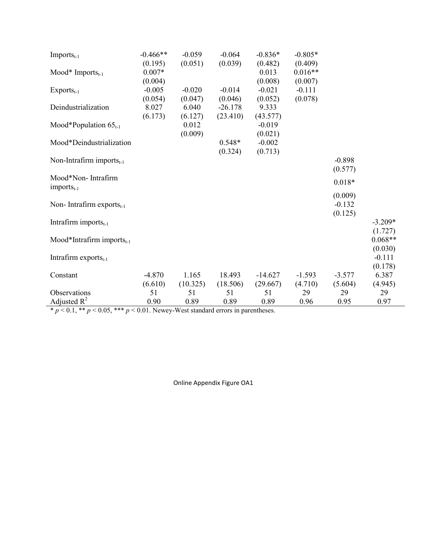| $Imports_{t-1}$                       | $-0.466**$                     | $-0.059$            | $-0.064$              | $-0.836*$                   | $-0.805*$                       |                                |                      |
|---------------------------------------|--------------------------------|---------------------|-----------------------|-----------------------------|---------------------------------|--------------------------------|----------------------|
| Mood* Imports $_{t-1}$                | (0.195)<br>$0.007*$<br>(0.004) | (0.051)             | (0.039)               | (0.482)<br>0.013<br>(0.008) | (0.409)<br>$0.016**$<br>(0.007) |                                |                      |
| $Exports_{t-1}$                       | $-0.005$<br>(0.054)            | $-0.020$<br>(0.047) | $-0.014$<br>(0.046)   | $-0.021$<br>(0.052)         | $-0.111$<br>(0.078)             |                                |                      |
| Deindustrialization                   | 8.027<br>(6.173)               | 6.040<br>(6.127)    | $-26.178$<br>(23.410) | 9.333<br>(43.577)           |                                 |                                |                      |
| Mood*Population $65_{t-1}$            |                                | 0.012<br>(0.009)    |                       | $-0.019$<br>(0.021)         |                                 |                                |                      |
| Mood*Deindustrialization              |                                |                     | $0.548*$<br>(0.324)   | $-0.002$<br>(0.713)         |                                 |                                |                      |
| Non-Intrafirm imports $_{t-1}$        |                                |                     |                       |                             |                                 | $-0.898$<br>(0.577)            |                      |
| Mood*Non-Intrafirm<br>$imports_{t-1}$ |                                |                     |                       |                             |                                 | $0.018*$                       |                      |
| Non-Intrafirm exports $_{t-1}$        |                                |                     |                       |                             |                                 | (0.009)<br>$-0.132$<br>(0.125) |                      |
| Intrafirm imports $_{t-1}$            |                                |                     |                       |                             |                                 |                                | $-3.209*$<br>(1.727) |
| Mood*Intrafirm imports $_{t-1}$       |                                |                     |                       |                             |                                 |                                | $0.068**$<br>(0.030) |
| Intrafirm exports $_{t-1}$            |                                |                     |                       |                             |                                 |                                | $-0.111$<br>(0.178)  |
| Constant                              | $-4.870$<br>(6.610)            | 1.165<br>(10.325)   | 18.493<br>(18.506)    | $-14.627$<br>(29.667)       | $-1.593$<br>(4.710)             | $-3.577$<br>(5.604)            | 6.387<br>(4.945)     |
| Observations<br>Adjusted $R^2$        | 51<br>0.90                     | 51<br>0.89          | 51<br>0.89            | 51<br>0.89                  | 29<br>0.96                      | 29<br>0.95                     | 29<br>0.97           |

 $* p < 0.1, ** p < 0.05, *** p < 0.01.$  Newey-West standard errors in parentheses.

Online Appendix Figure OA1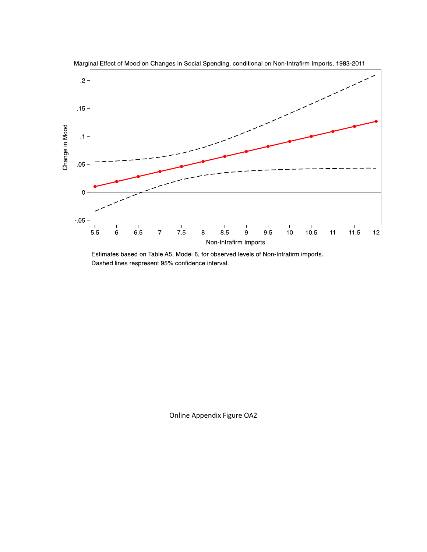

Marginal Effect of Mood on Changes in Social Spending, conditional on Non-Intrafirm Imports, 1983-2011

Estimates based on Table A5, Model 6, for observed levels of Non-Intrafirm imports. Dashed lines respresent 95% confidence interval.

Online Appendix Figure OA2